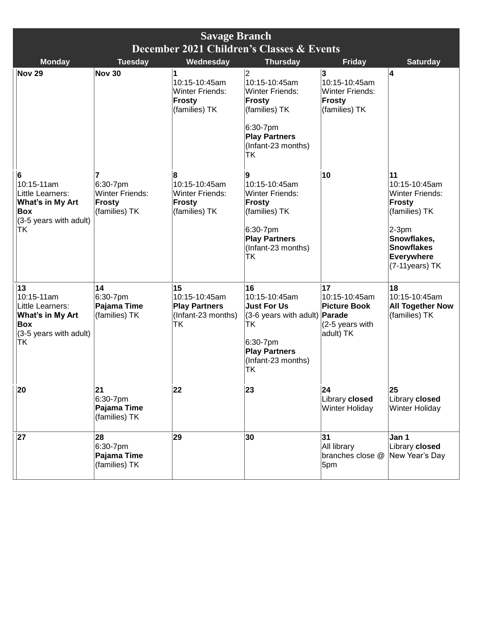| <b>Savage Branch</b><br>December 2021 Children's Classes & Events                                      |                                                                                |                                                                                |                                                                                                                                                                |                                                                            |                                                                                                                                                                        |
|--------------------------------------------------------------------------------------------------------|--------------------------------------------------------------------------------|--------------------------------------------------------------------------------|----------------------------------------------------------------------------------------------------------------------------------------------------------------|----------------------------------------------------------------------------|------------------------------------------------------------------------------------------------------------------------------------------------------------------------|
| <b>Monday</b>                                                                                          | <b>Tuesday</b>                                                                 | Wednesday                                                                      | <b>Thursday</b>                                                                                                                                                | <b>Friday</b>                                                              | <b>Saturday</b>                                                                                                                                                        |
| Nov 29                                                                                                 | <b>Nov 30</b>                                                                  | 10:15-10:45am<br><b>Winter Friends:</b><br><b>Frosty</b><br>(families) TK      | $\overline{2}$<br>10:15-10:45am<br><b>Winter Friends:</b><br>Frosty<br>(families) TK<br>6:30-7pm<br><b>Play Partners</b><br>(Infant-23 months)<br><b>TK</b>    | 3<br>10:15-10:45am<br><b>Winter Friends:</b><br>Frosty<br>(families) TK    | 4                                                                                                                                                                      |
| 6<br>10:15-11am<br>Little Learners:<br>What's in My Art<br><b>Box</b><br>(3-5 years with adult)<br>ΤK  | 7<br>$6:30 - 7$ pm<br><b>Winter Friends:</b><br><b>Frosty</b><br>(families) TK | 8<br>10:15-10:45am<br><b>Winter Friends:</b><br><b>Frosty</b><br>(families) TK | 9<br>10:15-10:45am<br><b>Winter Friends:</b><br><b>Frosty</b><br>(families) TK<br>6:30-7pm<br><b>Play Partners</b><br>(Infant-23 months)<br><b>TK</b>          | 10                                                                         | 11<br>10:15-10:45am<br><b>Winter Friends:</b><br><b>Frosty</b><br>(families) TK<br>$2-3pm$<br>Snowflakes,<br><b>Snowflakes</b><br><b>Everywhere</b><br>(7-11 years) TK |
| 13<br>10:15-11am<br>Little Learners:<br>What's in My Art<br><b>Box</b><br>(3-5 years with adult)<br>ΤK | 14<br>6:30-7pm<br>Pajama Time<br>(families) TK                                 | 15<br>10:15-10:45am<br><b>Play Partners</b><br>(Infant-23 months)<br>ΤK        | 16<br>10:15-10:45am<br><b>Just For Us</b><br>(3-6 years with adult) <b>Parade</b><br>ТK<br>6:30-7pm<br><b>Play Partners</b><br>(Infant-23 months)<br><b>TK</b> | 17<br>10:15-10:45am<br><b>Picture Book</b><br>(2-5 years with<br>adult) TK | 18<br>10:15-10:45am<br><b>All Together Now</b><br>(families) TK                                                                                                        |
| 20                                                                                                     | 21<br>6:30-7pm<br>Pajama Time<br>(families) TK                                 | 22                                                                             | 23                                                                                                                                                             | 24<br>Library closed<br><b>Winter Holiday</b>                              | 25<br>Library closed<br><b>Winter Holiday</b>                                                                                                                          |
| 27                                                                                                     | 28<br>6:30-7pm<br>Pajama Time<br>(families) TK                                 | 29                                                                             | 30                                                                                                                                                             | 31<br>All library<br>branches close @<br>5pm                               | Jan 1<br>Library closed<br>New Year's Day                                                                                                                              |